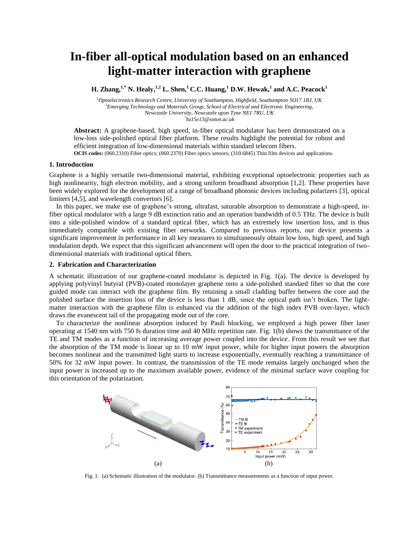# **In-fiber all-optical modulation based on an enhanced light-matter interaction with graphene**

**H. Zhang,1,\* N. Healy,1,2 L. Shen,<sup>1</sup> C.C. Huang,<sup>1</sup> D.W. Hewak, 1 and A.C. Peacock<sup>1</sup>**

*<sup>1</sup>Optoelectronics Research Centre, University of Southampton, Highfield, Southampton SO17 1BJ, UK <sup>2</sup>Emerging Technology and Materials Group, School of Electrical and Electronic Engineering, Newcastle University, Newcastle upon Tyne NE1 7RU, UK \* hz15e13@soton.ac.uk*

**Abstract:** A graphene-based, high speed, in-fiber optical modulator has been demonstrated on a low-loss side-polished optical fiber platform. These results highlight the potential for robust and efficient integration of low-dimensional materials within standard telecom fibers. **OCIS codes:** (060.2310) Fiber optics; (060.2370) Fiber optics sensors; (310.6845) Thin film devices and applications.

### **1. Introduction**

Graphene is a highly versatile two-dimensional material, exhibiting exceptional optoelectronic properties such as high nonlinearity, high electron mobility, and a strong uniform broadband absorption [1,2]. These properties have been widely explored for the development of a range of broadband photonic devices including polarizers [3], optical limiters [4,5], and wavelength convertors [6].

 In this paper, we make use of graphene's strong, ultrafast, saturable absorption to demonstrate a high-speed, infiber optical modulator with a large 9 dB extinction ratio and an operation bandwidth of 0.5 THz. The device is built into a side-polished window of a standard optical fiber, which has an extremely low insertion loss, and is thus immediately compatible with existing fiber networks. Compared to previous reports, our device presents a significant improvement in performance in all key measures to simultaneously obtain low loss, high speed, and high modulation depth. We expect that this significant advancement will open the door to the practical integration of twodimensional materials with traditional optical fibers.

# **2. Fabrication and Characterization**

A schematic illustration of our graphene-coated modulator is depicted in Fig. 1(a). The device is developed by applying polyvinyl butyral (PVB)-coated monolayer graphene onto a side-polished standard fiber so that the core guided mode can interact with the graphene film. By retaining a small cladding buffer between the core and the polished surface the insertion loss of the device is less than 1 dB, since the optical path isn't broken. The lightmatter interaction with the graphene film is enhanced via the addition of the high index PVB over-layer, which draws the evanescent tail of the propagating mode out of the core.

 To characterize the nonlinear absorption induced by Pauli blocking, we employed a high power fiber laser operating at 1540 nm with 750 fs duration time and 40 MHz repetition rate. Fig. 1(b) shows the transmittance of the TE and TM modes as a function of increasing average power coupled into the device. From this result we see that the absorption of the TM mode is linear up to 10 mW input power, while for higher input powers the absorption becomes nonlinear and the transmitted light starts to increase exponentially, eventually reaching a transmittance of 50% for 32 mW input power. In contrast, the transmission of the TE mode remains largely unchanged when the input power is increased up to the maximum available power, evidence of the minimal surface wave coupling for this orientation of the polarization.



Fig. 1. (a) Schematic illustration of the modulator. (b) Transmittance measurements as a function of input power.